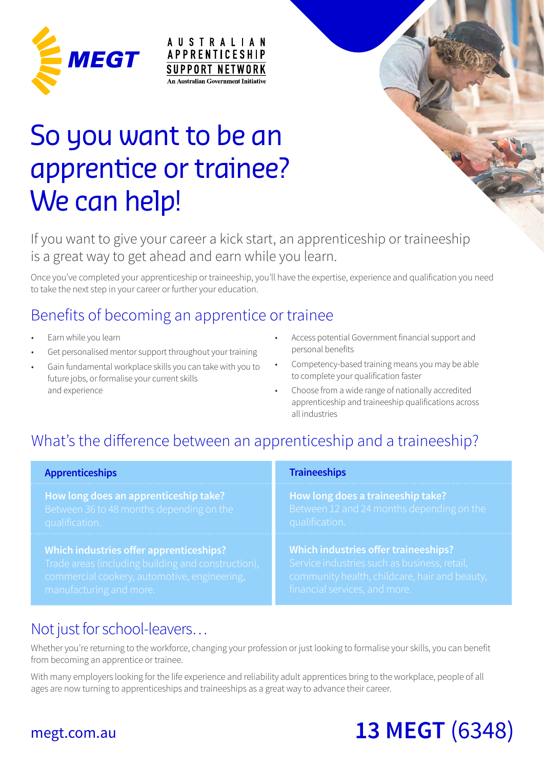

# So you want to be an apprentice or trainee? We can help!

### If you want to give your career a kick start, an apprenticeship or traineeship is a great way to get ahead and earn while you learn.

**AUSTRALIAN** 

**APPRENTICESHIP SUPPORT NETWORK** An Australian Government Initiative

Once you've completed your apprenticeship or traineeship, you'll have the expertise, experience and qualification you need to take the next step in your career or further your education.

## Benefits of becoming an apprentice or trainee

- Earn while you learn
- Get personalised mentor support throughout your training
- Gain fundamental workplace skills you can take with you to future jobs, or formalise your current skills and experience
- Access potential Government financial support and personal benefits
- Competency-based training means you may be able to complete your qualification faster
- Choose from a wide range of nationally accredited apprenticeship and traineeship qualifications across all industries

## What's the difference between an apprenticeship and a traineeship?

| <b>Apprenticeships</b>                             | <b>Traineeships</b>                           |  |  |
|----------------------------------------------------|-----------------------------------------------|--|--|
| How long does an apprenticeship take?              | How long does a traineeship take?             |  |  |
| Between 36 to 48 months depending on the           | Between 12 and 24 months depending on the     |  |  |
| qualification.                                     | qualification.                                |  |  |
| Which industries offer apprenticeships?            | Which industries offer traineeships?          |  |  |
| Trade areas (including building and construction), | Service industries such as business, retail,  |  |  |
| commercial cookery, automotive, engineering,       | community health, childcare, hair and beauty, |  |  |
| manufacturing and more                             | financial carvices and more                   |  |  |

## Not just for school-leavers…

Whether you're returning to the workforce, changing your profession or just looking to formalise your skills, you can benefit from becoming an apprentice or trainee.

With many employers looking for the life experience and reliability adult apprentices bring to the workplace, people of all ages are now turning to apprenticeships and traineeships as a great way to advance their career.

## megt.com.au **13 MEGT** (6348)